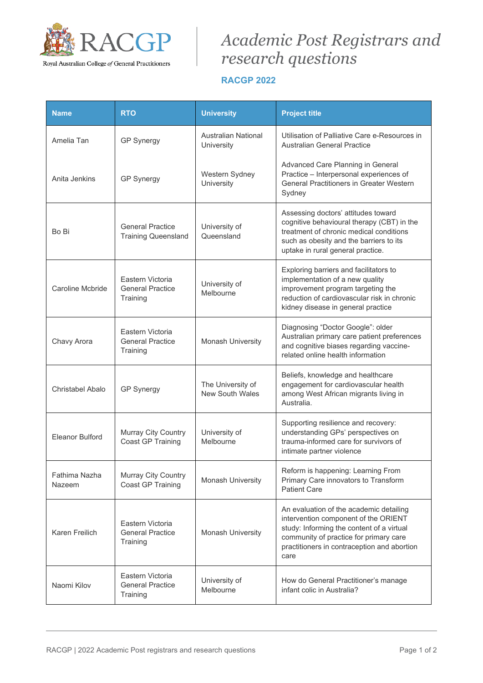

## *Academic Post Registrars and research questions*

## **RACGP 2022**

| <b>Name</b>             | <b>RTO</b>                                              | <b>University</b>                           | <b>Project title</b>                                                                                                                                                                                                          |
|-------------------------|---------------------------------------------------------|---------------------------------------------|-------------------------------------------------------------------------------------------------------------------------------------------------------------------------------------------------------------------------------|
| Amelia Tan              | <b>GP Synergy</b>                                       | Australian National<br>University           | Utilisation of Palliative Care e-Resources in<br><b>Australian General Practice</b>                                                                                                                                           |
| Anita Jenkins           | <b>GP Synergy</b>                                       | Western Sydney<br>University                | Advanced Care Planning in General<br>Practice - Interpersonal experiences of<br><b>General Practitioners in Greater Western</b><br>Sydney                                                                                     |
| Bo Bi                   | <b>General Practice</b><br><b>Training Queensland</b>   | University of<br>Queensland                 | Assessing doctors' attitudes toward<br>cognitive behavioural therapy (CBT) in the<br>treatment of chronic medical conditions<br>such as obesity and the barriers to its<br>uptake in rural general practice.                  |
| Caroline Mcbride        | Eastern Victoria<br><b>General Practice</b><br>Training | University of<br>Melbourne                  | Exploring barriers and facilitators to<br>implementation of a new quality<br>improvement program targeting the<br>reduction of cardiovascular risk in chronic<br>kidney disease in general practice                           |
| Chavy Arora             | Eastern Victoria<br><b>General Practice</b><br>Training | Monash University                           | Diagnosing "Doctor Google": older<br>Australian primary care patient preferences<br>and cognitive biases regarding vaccine-<br>related online health information                                                              |
| Christabel Abalo        | <b>GP Synergy</b>                                       | The University of<br><b>New South Wales</b> | Beliefs, knowledge and healthcare<br>engagement for cardiovascular health<br>among West African migrants living in<br>Australia.                                                                                              |
| <b>Eleanor Bulford</b>  | Murray City Country<br>Coast GP Training                | University of<br>Melbourne                  | Supporting resilience and recovery:<br>understanding GPs' perspectives on<br>trauma-informed care for survivors of<br>intimate partner violence                                                                               |
| Fathima Nazha<br>Nazeem | Murray City Country<br>Coast GP Training                | Monash University                           | Reform is happening: Learning From<br>Primary Care innovators to Transform<br><b>Patient Care</b>                                                                                                                             |
| Karen Freilich          | Eastern Victoria<br><b>General Practice</b><br>Training | Monash University                           | An evaluation of the academic detailing<br>intervention component of the ORIENT<br>study: Informing the content of a virtual<br>community of practice for primary care<br>practitioners in contraception and abortion<br>care |
| Naomi Kilov             | Eastern Victoria<br><b>General Practice</b><br>Training | University of<br>Melbourne                  | How do General Practitioner's manage<br>infant colic in Australia?                                                                                                                                                            |